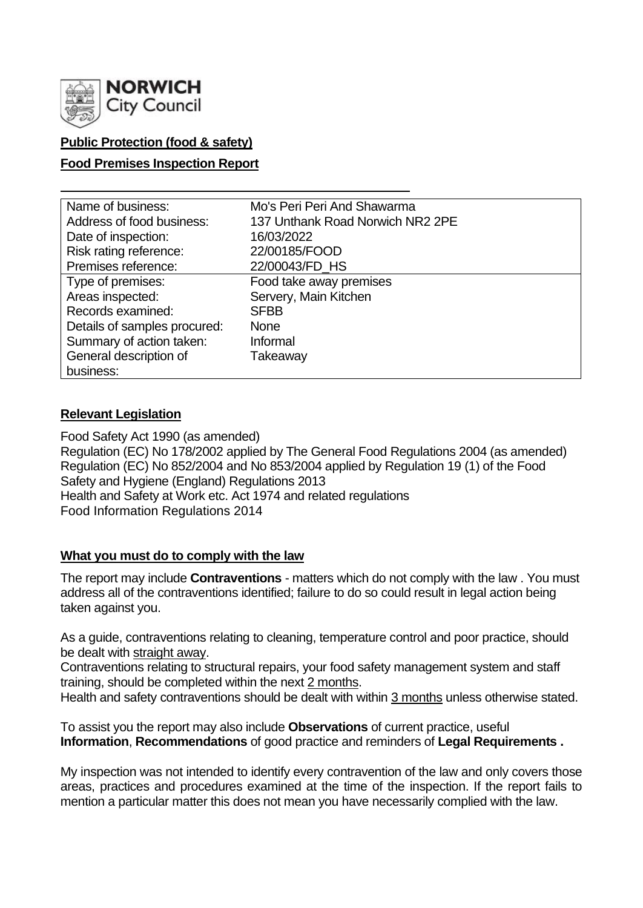

## **Public Protection (food & safety)**

#### **Food Premises Inspection Report**

| Name of business:            | Mo's Peri Peri And Shawarma      |
|------------------------------|----------------------------------|
| Address of food business:    | 137 Unthank Road Norwich NR2 2PE |
| Date of inspection:          | 16/03/2022                       |
| Risk rating reference:       | 22/00185/FOOD                    |
| Premises reference:          | 22/00043/FD_HS                   |
| Type of premises:            | Food take away premises          |
| Areas inspected:             | Servery, Main Kitchen            |
| Records examined:            | <b>SFBB</b>                      |
| Details of samples procured: | <b>None</b>                      |
| Summary of action taken:     | Informal                         |
| General description of       | Takeaway                         |
| business:                    |                                  |

#### **Relevant Legislation**

Food Safety Act 1990 (as amended) Regulation (EC) No 178/2002 applied by The General Food Regulations 2004 (as amended) Regulation (EC) No 852/2004 and No 853/2004 applied by Regulation 19 (1) of the Food Safety and Hygiene (England) Regulations 2013 Health and Safety at Work etc. Act 1974 and related regulations Food Information Regulations 2014

## **What you must do to comply with the law**

The report may include **Contraventions** - matters which do not comply with the law . You must address all of the contraventions identified; failure to do so could result in legal action being taken against you.

As a guide, contraventions relating to cleaning, temperature control and poor practice, should be dealt with straight away.

Contraventions relating to structural repairs, your food safety management system and staff training, should be completed within the next 2 months.

Health and safety contraventions should be dealt with within 3 months unless otherwise stated.

To assist you the report may also include **Observations** of current practice, useful **Information**, **Recommendations** of good practice and reminders of **Legal Requirements .**

My inspection was not intended to identify every contravention of the law and only covers those areas, practices and procedures examined at the time of the inspection. If the report fails to mention a particular matter this does not mean you have necessarily complied with the law.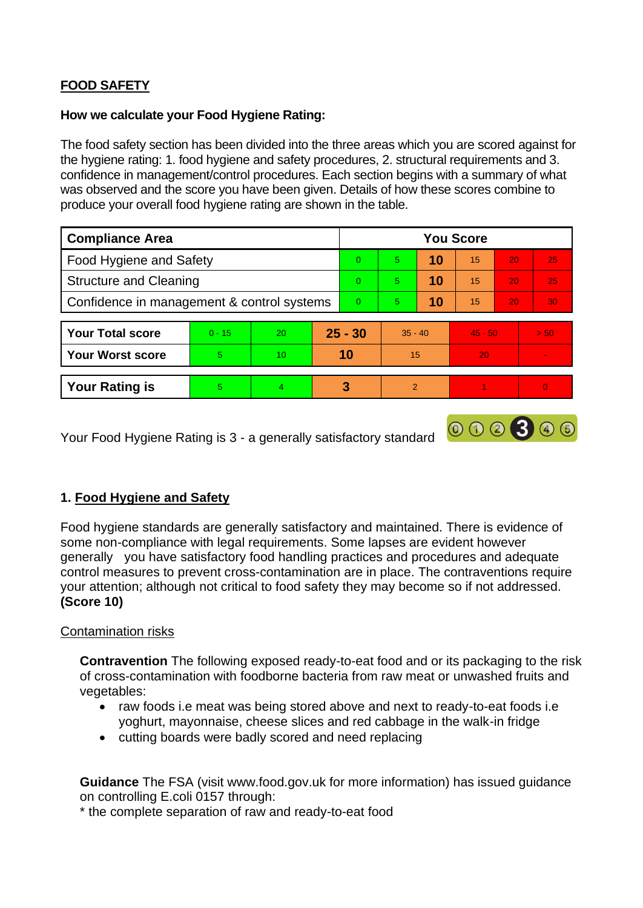# **FOOD SAFETY**

#### **How we calculate your Food Hygiene Rating:**

The food safety section has been divided into the three areas which you are scored against for the hygiene rating: 1. food hygiene and safety procedures, 2. structural requirements and 3. confidence in management/control procedures. Each section begins with a summary of what was observed and the score you have been given. Details of how these scores combine to produce your overall food hygiene rating are shown in the table.

| <b>Compliance Area</b>                     |          |    |    | <b>You Score</b> |           |    |           |    |                          |  |
|--------------------------------------------|----------|----|----|------------------|-----------|----|-----------|----|--------------------------|--|
| Food Hygiene and Safety                    |          |    |    | $\Omega$         | 5         | 10 | 15        | 20 | 25                       |  |
| <b>Structure and Cleaning</b>              |          |    |    | $\Omega$         | 5         | 10 | 15        | 20 | 25                       |  |
| Confidence in management & control systems |          |    |    | $\overline{0}$   | 5         | 10 | 15        | 20 | 30 <sub>1</sub>          |  |
|                                            |          |    |    |                  |           |    |           |    |                          |  |
| <b>Your Total score</b>                    | $0 - 15$ | 20 |    | $25 - 30$        | $35 - 40$ |    | $45 - 50$ |    | > 50                     |  |
| <b>Your Worst score</b>                    | 5        | 10 | 10 |                  | 15        |    | 20        |    | $\overline{\phantom{a}}$ |  |
|                                            |          |    |    |                  |           |    |           |    |                          |  |
| <b>Your Rating is</b>                      | 5        | 4  |    | 3                | 2         |    |           |    | $\overline{0}$           |  |

000300

Your Food Hygiene Rating is 3 - a generally satisfactory standard

## **1. Food Hygiene and Safety**

Food hygiene standards are generally satisfactory and maintained. There is evidence of some non-compliance with legal requirements. Some lapses are evident however generally you have satisfactory food handling practices and procedures and adequate control measures to prevent cross-contamination are in place. The contraventions require your attention; although not critical to food safety they may become so if not addressed. **(Score 10)**

#### Contamination risks

**Contravention** The following exposed ready-to-eat food and or its packaging to the risk of cross-contamination with foodborne bacteria from raw meat or unwashed fruits and vegetables:

- raw foods i.e meat was being stored above and next to ready-to-eat foods i.e yoghurt, mayonnaise, cheese slices and red cabbage in the walk-in fridge
- cutting boards were badly scored and need replacing

**Guidance** The FSA (visit www.food.gov.uk for more information) has issued guidance on controlling E.coli 0157 through:

\* the complete separation of raw and ready-to-eat food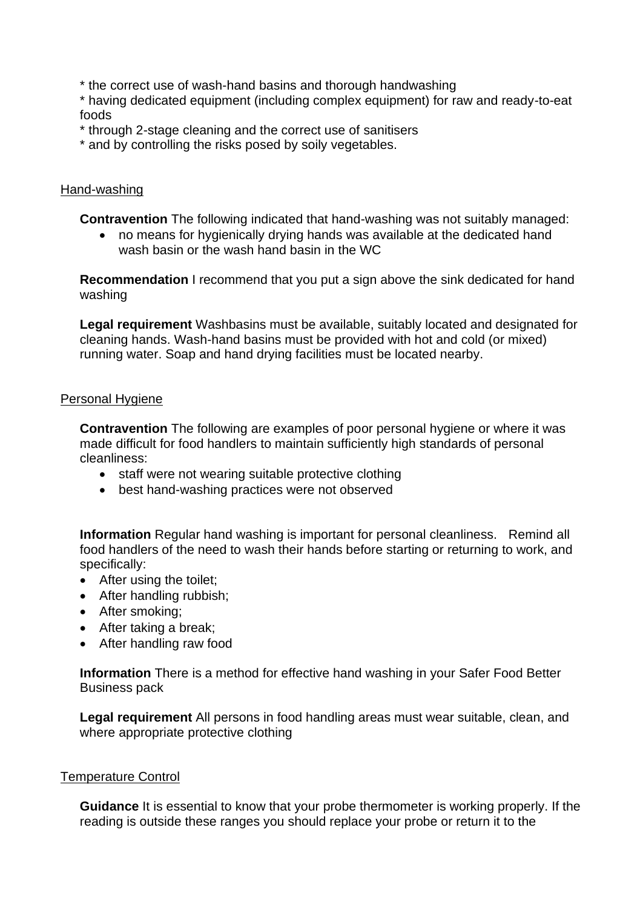\* the correct use of wash-hand basins and thorough handwashing

\* having dedicated equipment (including complex equipment) for raw and ready-to-eat foods

\* through 2-stage cleaning and the correct use of sanitisers

\* and by controlling the risks posed by soily vegetables.

### Hand-washing

**Contravention** The following indicated that hand-washing was not suitably managed:

• no means for hygienically drying hands was available at the dedicated hand wash basin or the wash hand basin in the WC

**Recommendation** I recommend that you put a sign above the sink dedicated for hand washing

**Legal requirement** Washbasins must be available, suitably located and designated for cleaning hands. Wash-hand basins must be provided with hot and cold (or mixed) running water. Soap and hand drying facilities must be located nearby.

#### Personal Hygiene

**Contravention** The following are examples of poor personal hygiene or where it was made difficult for food handlers to maintain sufficiently high standards of personal cleanliness:

- staff were not wearing suitable protective clothing
- best hand-washing practices were not observed

**Information** Regular hand washing is important for personal cleanliness. Remind all food handlers of the need to wash their hands before starting or returning to work, and specifically:

- After using the toilet;
- After handling rubbish;
- After smoking;
- After taking a break;
- After handling raw food

**Information** There is a method for effective hand washing in your Safer Food Better Business pack

**Legal requirement** All persons in food handling areas must wear suitable, clean, and where appropriate protective clothing

#### Temperature Control

**Guidance** It is essential to know that your probe thermometer is working properly. If the reading is outside these ranges you should replace your probe or return it to the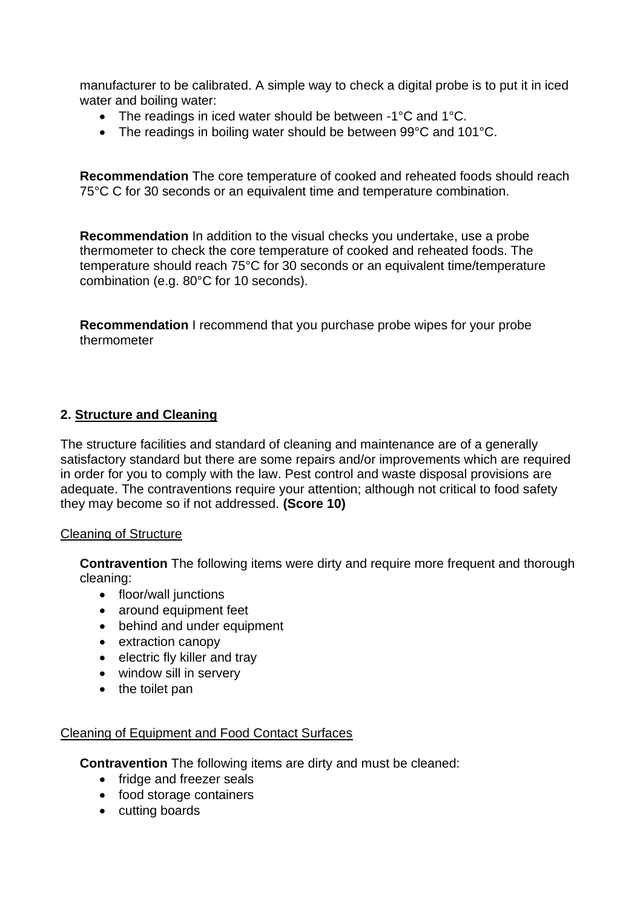manufacturer to be calibrated. A simple way to check a digital probe is to put it in iced water and boiling water:

- The readings in iced water should be between -1°C and 1°C.
- The readings in boiling water should be between 99°C and 101°C.

**Recommendation** The core temperature of cooked and reheated foods should reach 75°C C for 30 seconds or an equivalent time and temperature combination.

**Recommendation** In addition to the visual checks you undertake, use a probe thermometer to check the core temperature of cooked and reheated foods. The temperature should reach 75°C for 30 seconds or an equivalent time/temperature combination (e.g. 80°C for 10 seconds).

**Recommendation** I recommend that you purchase probe wipes for your probe thermometer

## **2. Structure and Cleaning**

The structure facilities and standard of cleaning and maintenance are of a generally satisfactory standard but there are some repairs and/or improvements which are required in order for you to comply with the law. Pest control and waste disposal provisions are adequate. The contraventions require your attention; although not critical to food safety they may become so if not addressed. **(Score 10)**

#### Cleaning of Structure

**Contravention** The following items were dirty and require more frequent and thorough cleaning:

- floor/wall junctions
- around equipment feet
- behind and under equipment
- extraction canopy
- electric fly killer and tray
- window sill in servery
- the toilet pan

#### Cleaning of Equipment and Food Contact Surfaces

**Contravention** The following items are dirty and must be cleaned:

- fridge and freezer seals
- food storage containers
- cutting boards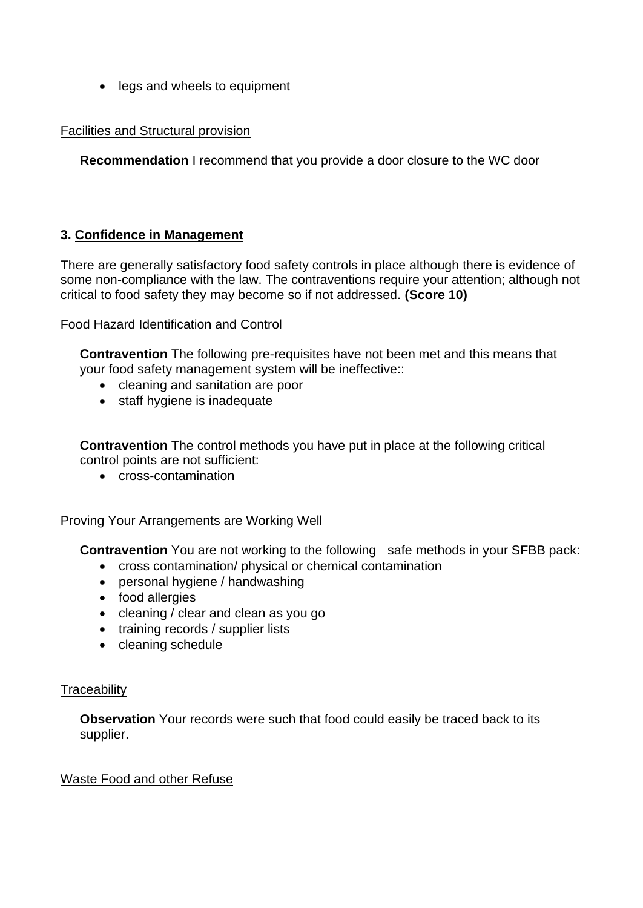• legs and wheels to equipment

### Facilities and Structural provision

**Recommendation** I recommend that you provide a door closure to the WC door

## **3. Confidence in Management**

There are generally satisfactory food safety controls in place although there is evidence of some non-compliance with the law. The contraventions require your attention; although not critical to food safety they may become so if not addressed. **(Score 10)**

#### Food Hazard Identification and Control

**Contravention** The following pre-requisites have not been met and this means that your food safety management system will be ineffective::

- cleaning and sanitation are poor
- staff hygiene is inadequate

**Contravention** The control methods you have put in place at the following critical control points are not sufficient:

• cross-contamination

#### Proving Your Arrangements are Working Well

**Contravention** You are not working to the following safe methods in your SFBB pack:

- cross contamination/ physical or chemical contamination
- personal hygiene / handwashing
- food allergies
- cleaning / clear and clean as you go
- training records / supplier lists
- cleaning schedule

#### **Traceability**

**Observation** Your records were such that food could easily be traced back to its supplier.

#### Waste Food and other Refuse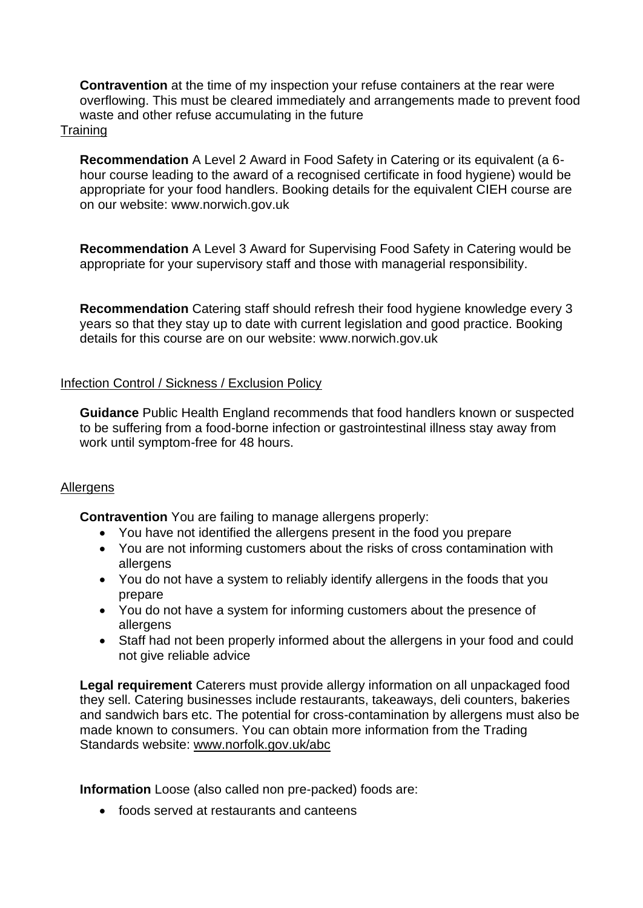**Contravention** at the time of my inspection your refuse containers at the rear were overflowing. This must be cleared immediately and arrangements made to prevent food waste and other refuse accumulating in the future

#### **Training**

**Recommendation** A Level 2 Award in Food Safety in Catering or its equivalent (a 6 hour course leading to the award of a recognised certificate in food hygiene) would be appropriate for your food handlers. Booking details for the equivalent CIEH course are on our website: www.norwich.gov.uk

**Recommendation** A Level 3 Award for Supervising Food Safety in Catering would be appropriate for your supervisory staff and those with managerial responsibility.

**Recommendation** Catering staff should refresh their food hygiene knowledge every 3 years so that they stay up to date with current legislation and good practice. Booking details for this course are on our website: www.norwich.gov.uk

## Infection Control / Sickness / Exclusion Policy

**Guidance** Public Health England recommends that food handlers known or suspected to be suffering from a food-borne infection or gastrointestinal illness stay away from work until symptom-free for 48 hours.

## Allergens

**Contravention** You are failing to manage allergens properly:

- You have not identified the allergens present in the food you prepare
- You are not informing customers about the risks of cross contamination with allergens
- You do not have a system to reliably identify allergens in the foods that you prepare
- You do not have a system for informing customers about the presence of allergens
- Staff had not been properly informed about the allergens in your food and could not give reliable advice

**Legal requirement** Caterers must provide allergy information on all unpackaged food they sell. Catering businesses include restaurants, takeaways, deli counters, bakeries and sandwich bars etc. The potential for cross-contamination by allergens must also be made known to consumers. You can obtain more information from the Trading Standards website: [www.norfolk.gov.uk/abc](http://www.norfolk.gov.uk/abc)

**Information** Loose (also called non pre-packed) foods are:

• foods served at restaurants and canteens